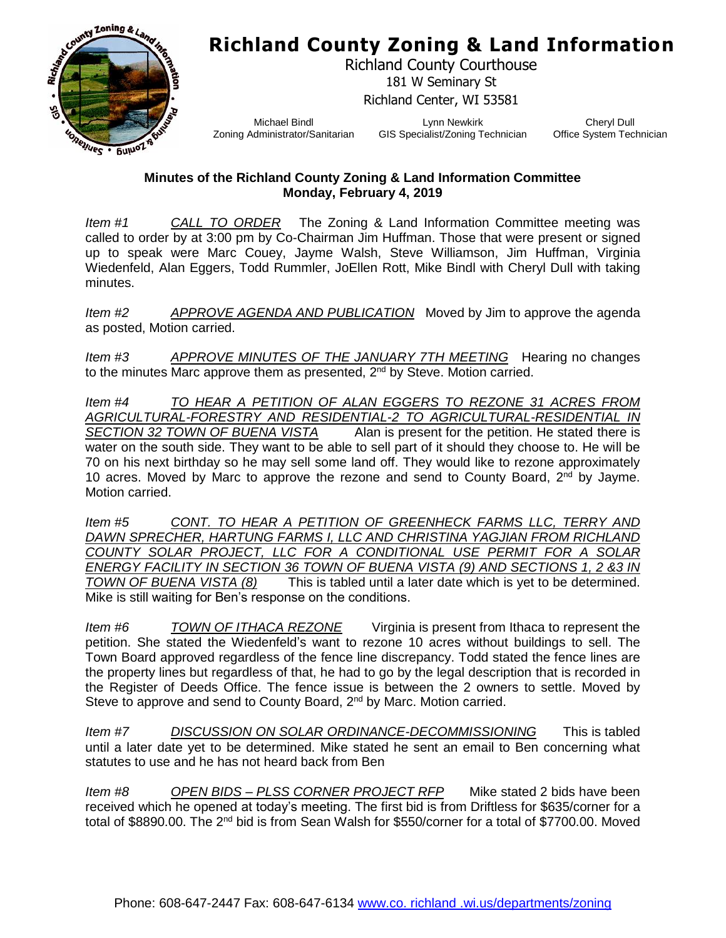

## **Richland County Zoning & Land Information**

Richland County Courthouse 181 W Seminary St Richland Center, WI 53581

Michael Bindl Zoning Administrator/Sanitarian

Lynn Newkirk GIS Specialist/Zoning Technician

Cheryl Dull Office System Technician

## **Minutes of the Richland County Zoning & Land Information Committee Monday, February 4, 2019**

*Item #1 CALL TO ORDER* The Zoning & Land Information Committee meeting was called to order by at 3:00 pm by Co-Chairman Jim Huffman. Those that were present or signed up to speak were Marc Couey, Jayme Walsh, Steve Williamson, Jim Huffman, Virginia Wiedenfeld, Alan Eggers, Todd Rummler, JoEllen Rott, Mike Bindl with Cheryl Dull with taking minutes.

*Item #2 APPROVE AGENDA AND PUBLICATION* Moved by Jim to approve the agenda as posted, Motion carried.

*Item #3 APPROVE MINUTES OF THE JANUARY 7TH MEETING* Hearing no changes to the minutes Marc approve them as presented, 2<sup>nd</sup> by Steve. Motion carried.

*Item #4 TO HEAR A PETITION OF ALAN EGGERS TO REZONE 31 ACRES FROM AGRICULTURAL-FORESTRY AND RESIDENTIAL-2 TO AGRICULTURAL-RESIDENTIAL IN SECTION 32 TOWN OF BUENA VISTA* Alan is present for the petition. He stated there is water on the south side. They want to be able to sell part of it should they choose to. He will be 70 on his next birthday so he may sell some land off. They would like to rezone approximately 10 acres. Moved by Marc to approve the rezone and send to County Board,  $2^{nd}$  by Jayme. Motion carried.

*Item #5 CONT. TO HEAR A PETITION OF GREENHECK FARMS LLC, TERRY AND DAWN SPRECHER, HARTUNG FARMS I, LLC AND CHRISTINA YAGJIAN FROM RICHLAND COUNTY SOLAR PROJECT, LLC FOR A CONDITIONAL USE PERMIT FOR A SOLAR ENERGY FACILITY IN SECTION 36 TOWN OF BUENA VISTA (9) AND SECTIONS 1, 2 &3 IN TOWN OF BUENA VISTA (8)* This is tabled until a later date which is yet to be determined. Mike is still waiting for Ben's response on the conditions.

*Item #6 TOWN OF ITHACA REZONE* Virginia is present from Ithaca to represent the petition. She stated the Wiedenfeld's want to rezone 10 acres without buildings to sell. The Town Board approved regardless of the fence line discrepancy. Todd stated the fence lines are the property lines but regardless of that, he had to go by the legal description that is recorded in the Register of Deeds Office. The fence issue is between the 2 owners to settle. Moved by Steve to approve and send to County Board, 2<sup>nd</sup> by Marc. Motion carried.

*Item #7 DISCUSSION ON SOLAR ORDINANCE-DECOMMISSIONING* This is tabled until a later date yet to be determined. Mike stated he sent an email to Ben concerning what statutes to use and he has not heard back from Ben

*Item #8 OPEN BIDS – PLSS CORNER PROJECT RFP* Mike stated 2 bids have been received which he opened at today's meeting. The first bid is from Driftless for \$635/corner for a total of \$8890.00. The 2<sup>nd</sup> bid is from Sean Walsh for \$550/corner for a total of \$7700.00. Moved